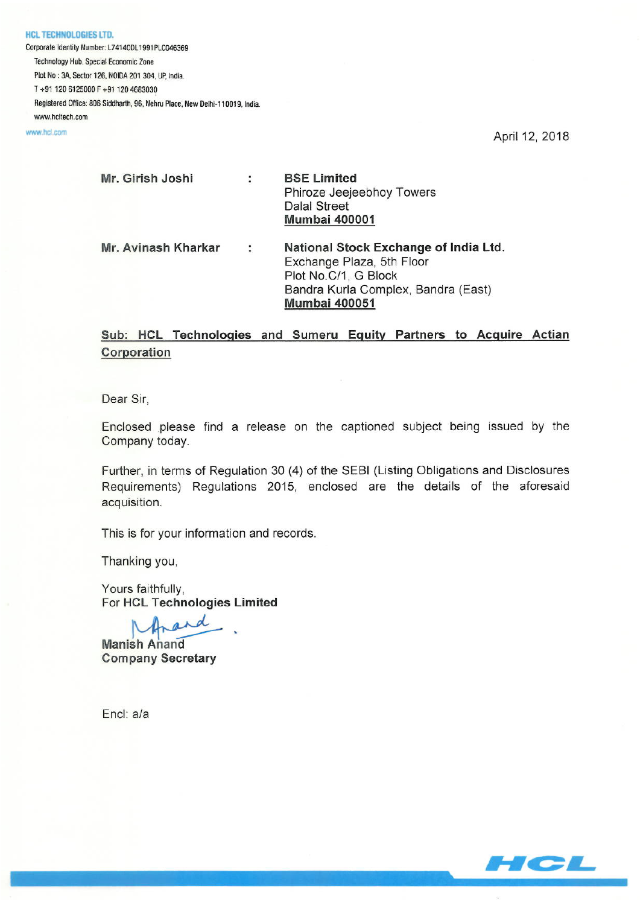**HCL TECHNOLOGIES LTD.** Corporate Identity Number: L74140DL1991PLC046369 Technology Hub, Special Economic Zone Plot No : 3A, Sector 126, NOIDA 201 304, UP, India. T+91 120 6125000 F+91 120 4683030 Registered Office: 806 Siddharth, 96, Nehru Place, New Delhi-110019, India. www.hcltech.com

www.hcl.com

April 12, 2018

| Mr. Girish Joshi    |   | <b>BSE Limited</b><br>Phiroze Jeejeebhoy Towers<br><b>Dalal Street</b><br><b>Mumbai 400001</b>                                                            |
|---------------------|---|-----------------------------------------------------------------------------------------------------------------------------------------------------------|
| Mr. Avinash Kharkar | ÷ | National Stock Exchange of India Ltd.<br>Exchange Plaza, 5th Floor<br>Plot No.C/1, G Block<br>Bandra Kurla Complex, Bandra (East)<br><b>Mumbai 400051</b> |

## Sub: HCL Technologies and Sumeru Equity Partners to Acquire Actian Corporation

Dear Sir,

Enclosed please find a release on the captioned subject being issued by the Company today.

Further, in terms of Regulation 30 (4) of the SEBI (Listing Obligations and Disclosures Requirements) Regulations 2015, enclosed are the details of the aforesaid acquisition.

This is for your information and records.

Thanking you,

Yours faithfully. For HCL Technologies Limited

and

**Manish Anand Company Secretary** 

Encl: a/a

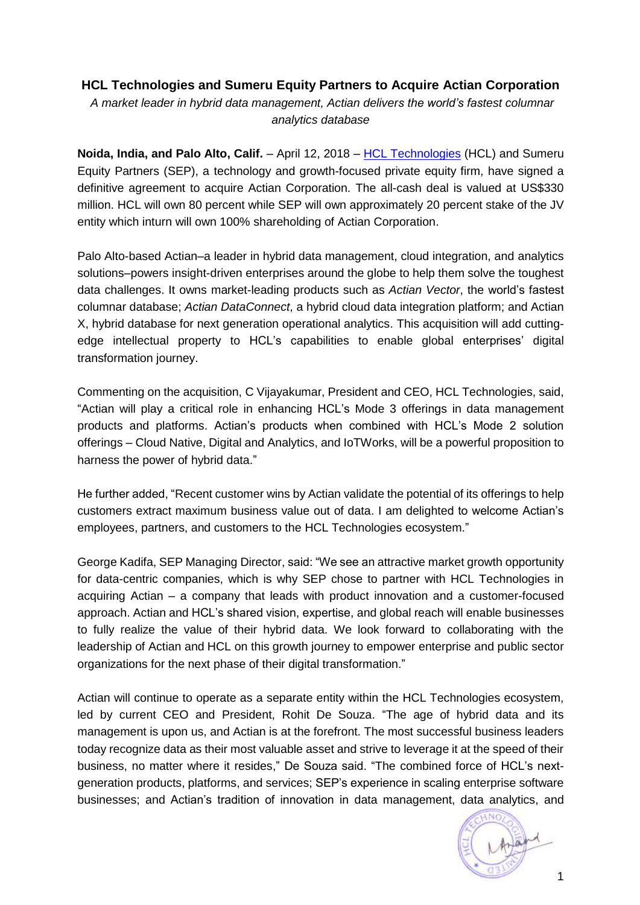## **HCL Technologies and Sumeru Equity Partners to Acquire Actian Corporation**

*A market leader in hybrid data management, Actian delivers the world's fastest columnar analytics database*

**Noida, India, and Palo Alto, Calif.** – April 12, 2018 – [HCL Technologies](https://apac01.safelinks.protection.outlook.com/?url=https%3A%2F%2Fwww.hcltech.com%2F&data=02%7C01%7Canne.coyle%40hcl.com%7Ce611422ac4694f41e4d008d5940fba6f%7C189de737c93a4f5a8b686f4ca9941912%7C0%7C0%7C636577717630491685&sdata=3cefU4aon1NyRv0NC4%2FVJFoz9ErxWYLUNnbV%2Bt0JFU8%3D&reserved=0) (HCL) and Sumeru Equity Partners (SEP), a technology and growth-focused private equity firm, have signed a definitive agreement to acquire Actian Corporation. The all-cash deal is valued at US\$330 million. HCL will own 80 percent while SEP will own approximately 20 percent stake of the JV entity which inturn will own 100% shareholding of Actian Corporation.

Palo Alto-based Actian–a leader in hybrid data management, cloud integration, and analytics solutions–powers insight-driven enterprises around the globe to help them solve the toughest data challenges. It owns market-leading products such as *Actian Vector*, the world's fastest columnar database; *Actian DataConnect*, a hybrid cloud data integration platform; and Actian X, hybrid database for next generation operational analytics. This acquisition will add cuttingedge intellectual property to HCL's capabilities to enable global enterprises' digital transformation journey.

Commenting on the acquisition, C Vijayakumar, President and CEO, HCL Technologies, said, "Actian will play a critical role in enhancing HCL's [Mode 3](https://www.hcltech.com/our-mode-1-2-3-strategy) offerings in data management products and platforms. Actian's products when combined with HCL's Mode 2 solution offerings – Cloud Native, Digital and Analytics, and IoTWorks, will be a powerful proposition to harness the power of hybrid data."

He further added, "Recent customer wins by Actian validate the potential of its offerings to help customers extract maximum business value out of data. I am delighted to welcome Actian's employees, partners, and customers to the HCL Technologies ecosystem."

George Kadifa, SEP Managing Director, said: "We see an attractive market growth opportunity for data-centric companies, which is why SEP chose to partner with HCL Technologies in acquiring Actian – a company that leads with product innovation and a customer-focused approach. Actian and HCL's shared vision, expertise, and global reach will enable businesses to fully realize the value of their hybrid data. We look forward to collaborating with the leadership of Actian and HCL on this growth journey to empower enterprise and public sector organizations for the next phase of their digital transformation."

Actian will continue to operate as a separate entity within the HCL Technologies ecosystem, led by current CEO and President, Rohit De Souza. "The age of hybrid data and its management is upon us, and Actian is at the forefront. The most successful business leaders today recognize data as their most valuable asset and strive to leverage it at the speed of their business, no matter where it resides," De Souza said. "The combined force of HCL's nextgeneration products, platforms, and services; SEP's experience in scaling enterprise software businesses; and Actian's tradition of innovation in data management, data analytics, and

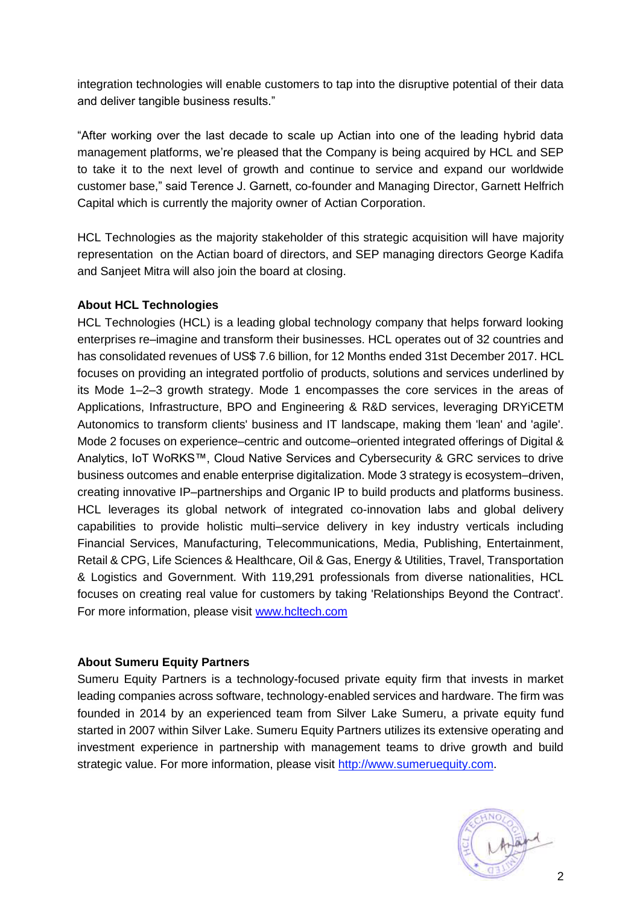integration technologies will enable customers to tap into the disruptive potential of their data and deliver tangible business results."

"After working over the last decade to scale up Actian into one of the leading hybrid data management platforms, we're pleased that the Company is being acquired by HCL and SEP to take it to the next level of growth and continue to service and expand our worldwide customer base," said Terence J. Garnett, co-founder and Managing Director, Garnett Helfrich Capital which is currently the majority owner of Actian Corporation.

HCL Technologies as the majority stakeholder of this strategic acquisition will have majority representation on the Actian board of directors, and SEP managing directors George Kadifa and Sanjeet Mitra will also join the board at closing.

## **About HCL Technologies**

HCL Technologies (HCL) is a leading global technology company that helps forward looking enterprises re–imagine and transform their businesses. HCL operates out of 32 countries and has consolidated revenues of US\$ 7.6 billion, for 12 Months ended 31st December 2017. HCL focuses on providing an integrated portfolio of products, solutions and services underlined by its Mode 1–2–3 growth strategy. Mode 1 encompasses the core services in the areas of Applications, Infrastructure, BPO and Engineering & R&D services, leveraging DRYiCETM Autonomics to transform clients' business and IT landscape, making them 'lean' and 'agile'. Mode 2 focuses on experience–centric and outcome–oriented integrated offerings of Digital & Analytics, IoT WoRKS™, Cloud Native Services and Cybersecurity & GRC services to drive business outcomes and enable enterprise digitalization. Mode 3 strategy is ecosystem–driven, creating innovative IP–partnerships and Organic IP to build products and platforms business. HCL leverages its global network of integrated co-innovation labs and global delivery capabilities to provide holistic multi–service delivery in key industry verticals including Financial Services, Manufacturing, Telecommunications, Media, Publishing, Entertainment, Retail & CPG, Life Sciences & Healthcare, Oil & Gas, Energy & Utilities, Travel, Transportation & Logistics and Government. With 119,291 professionals from diverse nationalities, HCL focuses on creating real value for customers by taking 'Relationships Beyond the Contract'. For more information, please visit [www.hcltech.com](https://apac01.safelinks.protection.outlook.com/?url=https%3A%2F%2Fwww.hcltech.com%2F&data=02%7C01%7Canne.coyle%40hcl.com%7C0483093994da4ee434ec08d59bfb9589%7C189de737c93a4f5a8b686f4ca9941912%7C0%7C0%7C636586427201995311&sdata=wevhxp4q85cqDlgun0VDmdYYaWm0Fq775N8uPl9j2jc%3D&reserved=0)

## **About Sumeru Equity Partners**

Sumeru Equity Partners is a technology-focused private equity firm that invests in market leading companies across software, technology-enabled services and hardware. The firm was founded in 2014 by an experienced team from Silver Lake Sumeru, a private equity fund started in 2007 within Silver Lake. Sumeru Equity Partners utilizes its extensive operating and investment experience in partnership with management teams to drive growth and build strategic value. For more information, please visit [http://www.sumeruequity.com.](http://cts.businesswire.com/ct/CT?id=smartlink&url=http%3A%2F%2Fwww.sumeruequity.com&esheet=51690272&newsitemid=20170927005409&lan=en-US&anchor=http%3A%2F%2Fwww.sumeruequity.com&index=8&md5=5f51a2e480fde2cb48a5425897a241f4)

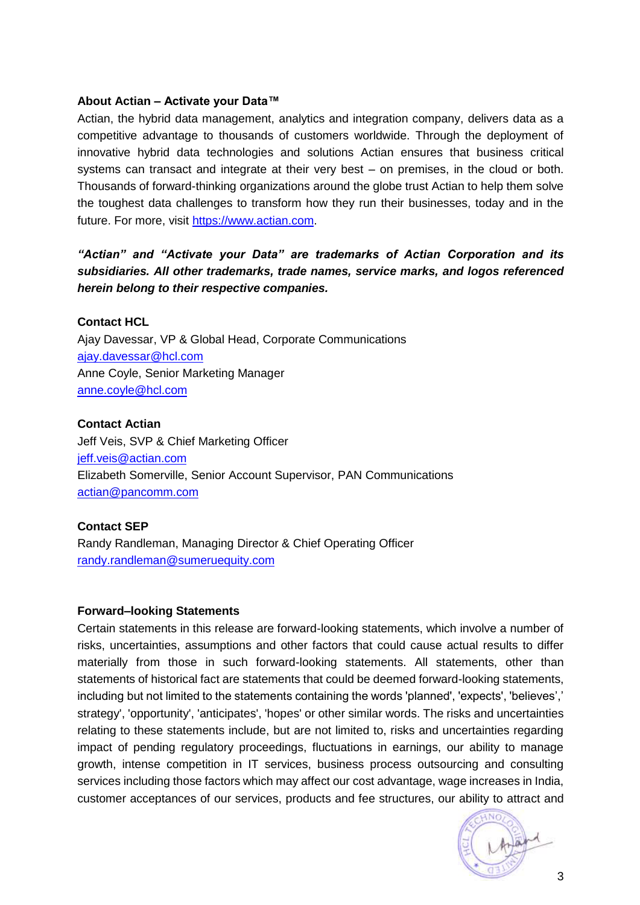#### **About Actian – Activate your Data™**

Actian, the hybrid data management, analytics and integration company, delivers data as a competitive advantage to thousands of customers worldwide. Through the deployment of innovative hybrid data technologies and solutions Actian ensures that business critical systems can transact and integrate at their very best – on premises, in the cloud or both. Thousands of forward-thinking organizations around the globe trust Actian to help them solve the toughest data challenges to transform how they run their businesses, today and in the future. For more, visit [https://www.actian.com.](https://www.actian.com/)

# *"Actian" and "Activate your Data" are trademarks of Actian Corporation and its subsidiaries. All other trademarks, trade names, service marks, and logos referenced herein belong to their respective companies.*

#### **Contact HCL**

Ajay Davessar, VP & Global Head, Corporate Communications ajay.davessar@hcl.com Anne Coyle, Senior Marketing Manager [anne.coyle@hcl.com](mailto:meenakshi.benjwal@hcl.com)

#### **Contact Actian**

Jeff Veis, SVP & Chief Marketing Officer [jeff.veis@actian.com](mailto:jeff.veis@actian.com) Elizabeth Somerville, Senior Account Supervisor, PAN Communications [actian@pancomm.com](mailto:actian@pancomm.com)

## **Contact SEP**

Randy Randleman, Managing Director & Chief Operating Officer [randy.randleman@sumeruequity.com](mailto:randy.randleman@sumeruequity.com)

#### **Forward–looking Statements**

Certain statements in this release are forward-looking statements, which involve a number of risks, uncertainties, assumptions and other factors that could cause actual results to differ materially from those in such forward-looking statements. All statements, other than statements of historical fact are statements that could be deemed forward-looking statements, including but not limited to the statements containing the words 'planned', 'expects', 'believes',' strategy', 'opportunity', 'anticipates', 'hopes' or other similar words. The risks and uncertainties relating to these statements include, but are not limited to, risks and uncertainties regarding impact of pending regulatory proceedings, fluctuations in earnings, our ability to manage growth, intense competition in IT services, business process outsourcing and consulting services including those factors which may affect our cost advantage, wage increases in India, customer acceptances of our services, products and fee structures, our ability to attract and

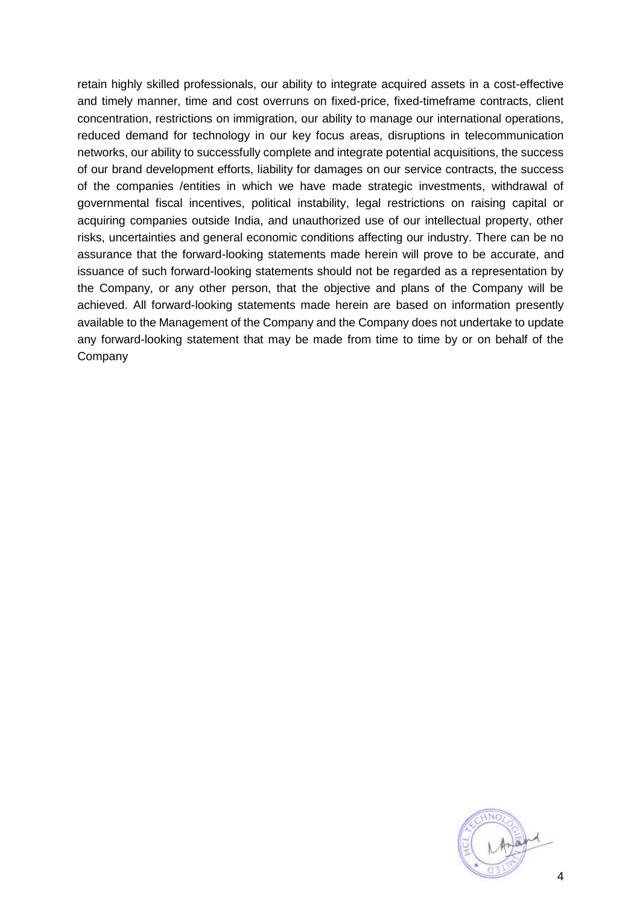retain highly skilled professionals, our ability to integrate acquired assets in a cost-effective and timely manner, time and cost overruns on fixed-price, fixed-timeframe contracts, client concentration, restrictions on immigration, our ability to manage our international operations, reduced demand for technology in our key focus areas, disruptions in telecommunication networks, our ability to successfully complete and integrate potential acquisitions, the success of our brand development efforts, liability for damages on our service contracts, the success of the companies /entities in which we have made strategic investments, withdrawal of governmental fiscal incentives, political instability, legal restrictions on raising capital or acquiring companies outside India, and unauthorized use of our intellectual property, other risks, uncertainties and general economic conditions affecting our industry. There can be no assurance that the forward-looking statements made herein will prove to be accurate, and issuance of such forward-looking statements should not be regarded as a representation by the Company, or any other person, that the objective and plans of the Company will be achieved. All forward-looking statements made herein are based on information presently available to the Management of the Company and the Company does not undertake to update any forward-looking statement that may be made from time to time by or on behalf of the Company

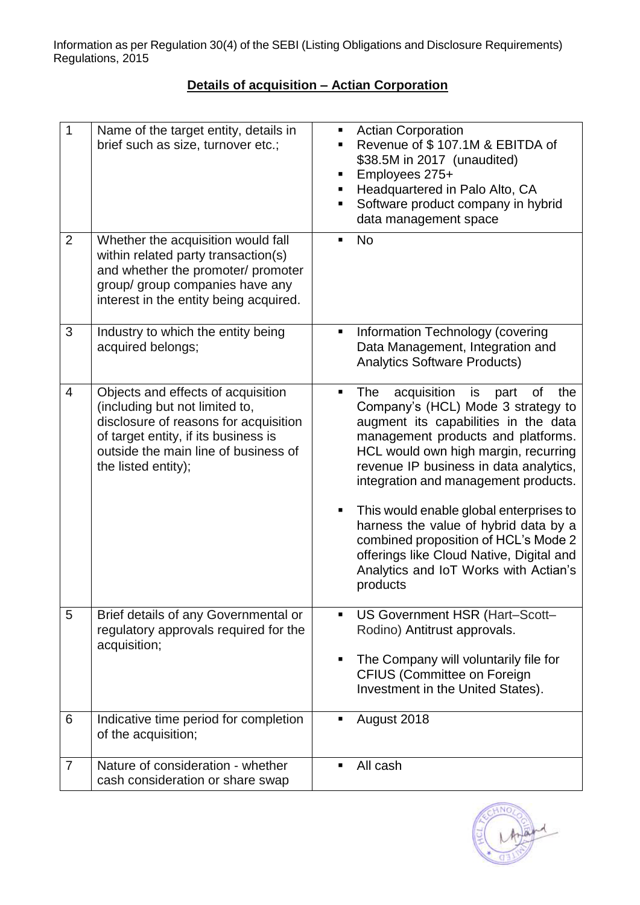# **Details of acquisition – Actian Corporation**

| 1              | Name of the target entity, details in<br>brief such as size, turnover etc.;                                                                                                                                          | <b>Actian Corporation</b><br>٠<br>Revenue of \$107.1M & EBITDA of<br>\$38.5M in 2017 (unaudited)<br>Employees 275+<br>Headquartered in Palo Alto, CA<br>Software product company in hybrid<br>data management space                                                                                                                                                                                                                                                                                                                  |
|----------------|----------------------------------------------------------------------------------------------------------------------------------------------------------------------------------------------------------------------|--------------------------------------------------------------------------------------------------------------------------------------------------------------------------------------------------------------------------------------------------------------------------------------------------------------------------------------------------------------------------------------------------------------------------------------------------------------------------------------------------------------------------------------|
| $\overline{2}$ | Whether the acquisition would fall<br>within related party transaction(s)<br>and whether the promoter/ promoter<br>group/ group companies have any<br>interest in the entity being acquired.                         | <b>No</b><br>٠                                                                                                                                                                                                                                                                                                                                                                                                                                                                                                                       |
| 3              | Industry to which the entity being<br>acquired belongs;                                                                                                                                                              | Information Technology (covering<br>Ξ<br>Data Management, Integration and<br><b>Analytics Software Products)</b>                                                                                                                                                                                                                                                                                                                                                                                                                     |
| $\overline{4}$ | Objects and effects of acquisition<br>(including but not limited to,<br>disclosure of reasons for acquisition<br>of target entity, if its business is<br>outside the main line of business of<br>the listed entity); | acquisition<br>is<br>of<br>the<br><b>The</b><br>part<br>٠<br>Company's (HCL) Mode 3 strategy to<br>augment its capabilities in the data<br>management products and platforms.<br>HCL would own high margin, recurring<br>revenue IP business in data analytics,<br>integration and management products.<br>This would enable global enterprises to<br>harness the value of hybrid data by a<br>combined proposition of HCL's Mode 2<br>offerings like Cloud Native, Digital and<br>Analytics and IoT Works with Actian's<br>products |
| 5              | Brief details of any Governmental or<br>regulatory approvals required for the<br>acquisition;                                                                                                                        | US Government HSR (Hart-Scott-<br>٠<br>Rodino) Antitrust approvals.<br>The Company will voluntarily file for<br><b>CFIUS (Committee on Foreign</b><br>Investment in the United States).                                                                                                                                                                                                                                                                                                                                              |
| 6              | Indicative time period for completion<br>of the acquisition;                                                                                                                                                         | August 2018                                                                                                                                                                                                                                                                                                                                                                                                                                                                                                                          |
| 7              | Nature of consideration - whether<br>cash consideration or share swap                                                                                                                                                | All cash                                                                                                                                                                                                                                                                                                                                                                                                                                                                                                                             |